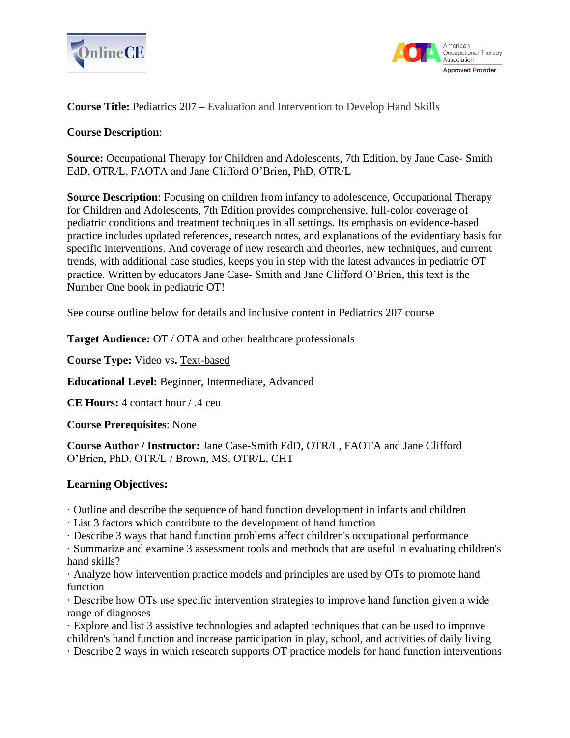



**Course Title:** Pediatrics 207 – Evaluation and Intervention to Develop Hand Skills

# **Course Description**:

**Source:** Occupational Therapy for Children and Adolescents, 7th Edition, by Jane Case- Smith EdD, OTR/L, FAOTA and Jane Clifford O'Brien, PhD, OTR/L

**Source Description**: Focusing on children from infancy to adolescence, Occupational Therapy for Children and Adolescents, 7th Edition provides comprehensive, full-color coverage of pediatric conditions and treatment techniques in all settings. Its emphasis on evidence-based practice includes updated references, research notes, and explanations of the evidentiary basis for specific interventions. And coverage of new research and theories, new techniques, and current trends, with additional case studies, keeps you in step with the latest advances in pediatric OT practice. Written by educators Jane Case- Smith and Jane Clifford O'Brien, this text is the Number One book in pediatric OT!

See course outline below for details and inclusive content in Pediatrics 207 course

**Target Audience:** OT / OTA and other healthcare professionals

**Course Type:** Video vs**.** Text-based

**Educational Level:** Beginner, Intermediate, Advanced

**CE Hours:** 4 contact hour / .4 ceu

**Course Prerequisites**: None

**Course Author / Instructor:** Jane Case-Smith EdD, OTR/L, FAOTA and Jane Clifford O'Brien, PhD, OTR/L / Brown, MS, OTR/L, CHT

# **Learning Objectives:**

· Outline and describe the sequence of hand function development in infants and children

· List 3 factors which contribute to the development of hand function

· Describe 3 ways that hand function problems affect children's occupational performance

· Summarize and examine 3 assessment tools and methods that are useful in evaluating children's hand skills?

· Analyze how intervention practice models and principles are used by OTs to promote hand function

· Describe how OTs use specific intervention strategies to improve hand function given a wide range of diagnoses

· Explore and list 3 assistive technologies and adapted techniques that can be used to improve children's hand function and increase participation in play, school, and activities of daily living

· Describe 2 ways in which research supports OT practice models for hand function interventions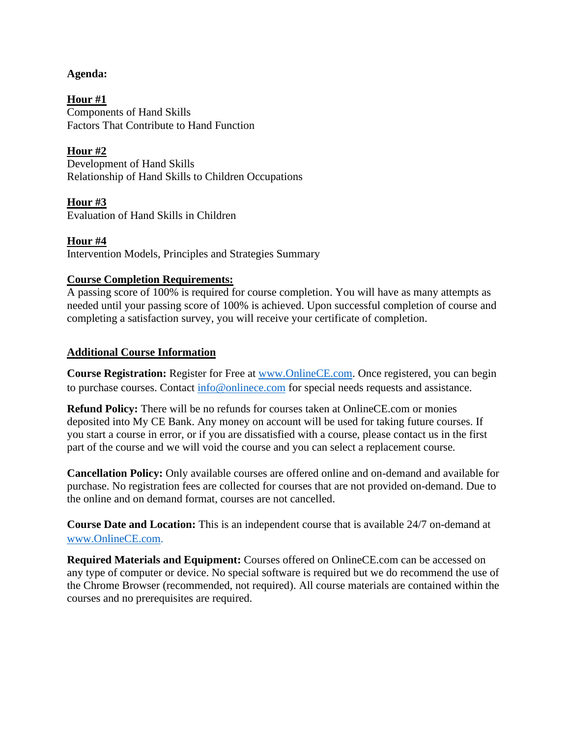### **Agenda:**

**Hour #1** Components of Hand Skills Factors That Contribute to Hand Function

**Hour #2** Development of Hand Skills Relationship of Hand Skills to Children Occupations

**Hour #3** Evaluation of Hand Skills in Children

**Hour #4** Intervention Models, Principles and Strategies Summary

# **Course Completion Requirements:**

A passing score of 100% is required for course completion. You will have as many attempts as needed until your passing score of 100% is achieved. Upon successful completion of course and completing a satisfaction survey, you will receive your certificate of completion.

# **Additional Course Information**

**Course Registration:** Register for Free at [www.OnlineCE.com.](http://www.onlinece.com/) Once registered, you can begin to purchase courses. Contact [info@onlinece.com](mailto:info@onlinece.com) for special needs requests and assistance.

**Refund Policy:** There will be no refunds for courses taken at OnlineCE.com or monies deposited into My CE Bank. Any money on account will be used for taking future courses. If you start a course in error, or if you are dissatisfied with a course, please contact us in the first part of the course and we will void the course and you can select a replacement course.

**Cancellation Policy:** Only available courses are offered online and on-demand and available for purchase. No registration fees are collected for courses that are not provided on-demand. Due to the online and on demand format, courses are not cancelled.

**Course Date and Location:** This is an independent course that is available 24/7 on-demand at [www.OnlineCE.com.](http://www.onlinece.com/)

**Required Materials and Equipment:** Courses offered on OnlineCE.com can be accessed on any type of computer or device. No special software is required but we do recommend the use of the Chrome Browser (recommended, not required). All course materials are contained within the courses and no prerequisites are required.